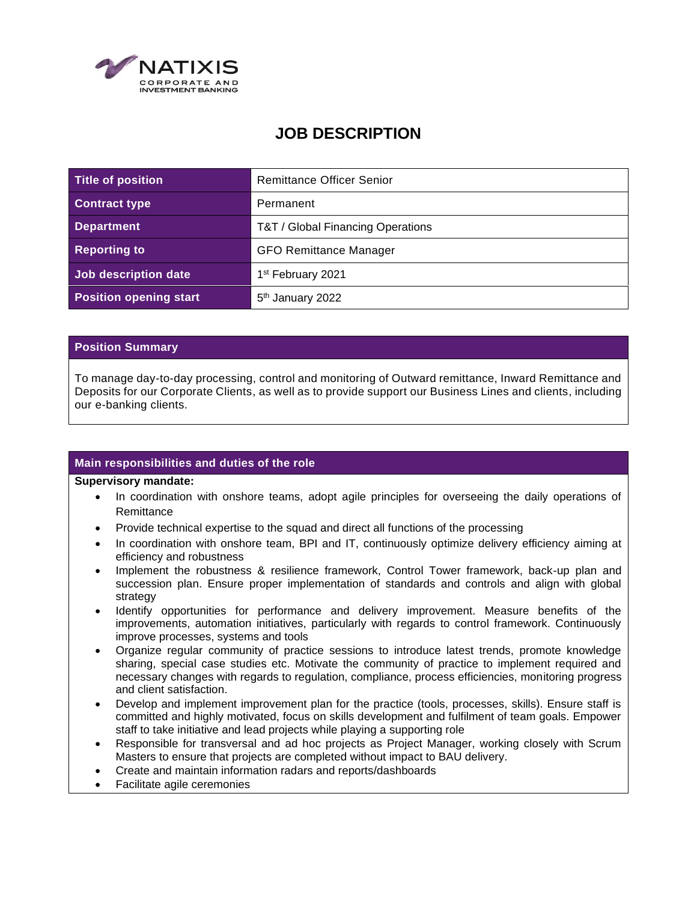

# **JOB DESCRIPTION**

| Title of position             | <b>Remittance Officer Senior</b>  |
|-------------------------------|-----------------------------------|
| <b>Contract type</b>          | Permanent                         |
| <b>Department</b>             | T&T / Global Financing Operations |
| <b>Reporting to</b>           | <b>GFO Remittance Manager</b>     |
| Job description date          | 1 <sup>st</sup> February 2021     |
| <b>Position opening start</b> | 5 <sup>th</sup> January 2022      |

# **Position Summary**

To manage day-to-day processing, control and monitoring of Outward remittance, Inward Remittance and Deposits for our Corporate Clients, as well as to provide support our Business Lines and clients, including our e-banking clients.

# **Main responsibilities and duties of the role**

#### **Supervisory mandate:**

- In coordination with onshore teams, adopt agile principles for overseeing the daily operations of **Remittance**
- Provide technical expertise to the squad and direct all functions of the processing
- In coordination with onshore team, BPI and IT, continuously optimize delivery efficiency aiming at efficiency and robustness
- Implement the robustness & resilience framework, Control Tower framework, back-up plan and succession plan. Ensure proper implementation of standards and controls and align with global strategy
- Identify opportunities for performance and delivery improvement. Measure benefits of the improvements, automation initiatives, particularly with regards to control framework. Continuously improve processes, systems and tools
- Organize regular community of practice sessions to introduce latest trends, promote knowledge sharing, special case studies etc. Motivate the community of practice to implement required and necessary changes with regards to regulation, compliance, process efficiencies, monitoring progress and client satisfaction.
- Develop and implement improvement plan for the practice (tools, processes, skills). Ensure staff is committed and highly motivated, focus on skills development and fulfilment of team goals. Empower staff to take initiative and lead projects while playing a supporting role
- Responsible for transversal and ad hoc projects as Project Manager, working closely with Scrum Masters to ensure that projects are completed without impact to BAU delivery.
- Create and maintain information radars and reports/dashboards
- Facilitate agile ceremonies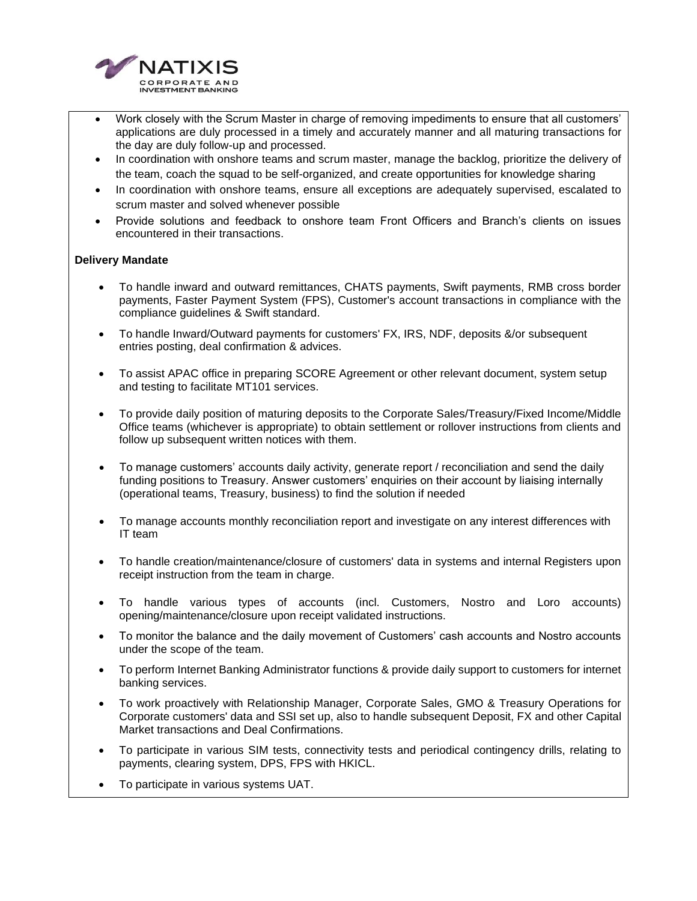

- Work closely with the Scrum Master in charge of removing impediments to ensure that all customers' applications are duly processed in a timely and accurately manner and all maturing transactions for the day are duly follow-up and processed.
- In coordination with onshore teams and scrum master, manage the backlog, prioritize the delivery of the team, coach the squad to be self-organized, and create opportunities for knowledge sharing
- In coordination with onshore teams, ensure all exceptions are adequately supervised, escalated to scrum master and solved whenever possible
- Provide solutions and feedback to onshore team Front Officers and Branch's clients on issues encountered in their transactions.

# **Delivery Mandate**

- To handle inward and outward remittances, CHATS payments, Swift payments, RMB cross border payments, Faster Payment System (FPS), Customer's account transactions in compliance with the compliance guidelines & Swift standard.
- To handle Inward/Outward payments for customers' FX, IRS, NDF, deposits &/or subsequent entries posting, deal confirmation & advices.
- To assist APAC office in preparing SCORE Agreement or other relevant document, system setup and testing to facilitate MT101 services.
- To provide daily position of maturing deposits to the Corporate Sales/Treasury/Fixed Income/Middle Office teams (whichever is appropriate) to obtain settlement or rollover instructions from clients and follow up subsequent written notices with them.
- To manage customers' accounts daily activity, generate report / reconciliation and send the daily funding positions to Treasury. Answer customers' enquiries on their account by liaising internally (operational teams, Treasury, business) to find the solution if needed
- To manage accounts monthly reconciliation report and investigate on any interest differences with IT team
- To handle creation/maintenance/closure of customers' data in systems and internal Registers upon receipt instruction from the team in charge.
- To handle various types of accounts (incl. Customers, Nostro and Loro accounts) opening/maintenance/closure upon receipt validated instructions.
- To monitor the balance and the daily movement of Customers' cash accounts and Nostro accounts under the scope of the team.
- To perform Internet Banking Administrator functions & provide daily support to customers for internet banking services.
- To work proactively with Relationship Manager, Corporate Sales, GMO & Treasury Operations for Corporate customers' data and SSI set up, also to handle subsequent Deposit, FX and other Capital Market transactions and Deal Confirmations.
- To participate in various SIM tests, connectivity tests and periodical contingency drills, relating to payments, clearing system, DPS, FPS with HKICL.
- To participate in various systems UAT.